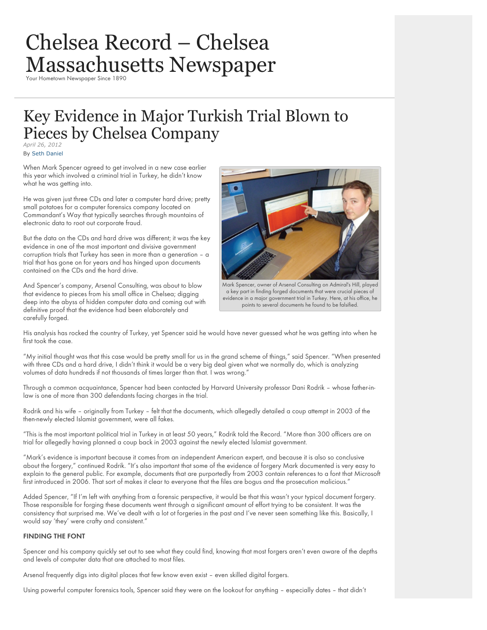# Chelsea Record – Chelsea [Massachusetts Newspaper](http://www.chelsearecord.com/)

# Key Evidence in Major Turkish Trial Blown to Pieces by Chelsea Company *April 26, 2012*

By [Seth Daniel](http://www.chelsearecord.com/author/seth-daniel/)

When Mark Spencer agreed to get involved in a new case earlier this year which involved a criminal trial in Turkey, he didn't know what he was getting into.

He was given just three CDs and later a computer hard drive; pretty small potatoes for a computer forensics company located on Commandant's Way that typically searches through mountains of electronic data to root out corporate fraud.

But the data on the CDs and hard drive was different; it was the key evidence in one of the most important and divisive government corruption trials that Turkey has seen in more than a generation – a trial that has gone on for years and has hinged upon documents contained on the CDs and the hard drive.

And Spencer's company, Arsenal Consulting, was about to blow that evidence to pieces from his small office in Chelsea; digging deep into the abyss of hidden computer data and coming out with definitive proof that the evidence had been elaborately and carefully forged.



Mark Spencer, owner of Arsenal Consulting on Admiral's Hill, played a key part in finding forged documents that were crucial pieces of evidence in a major government trial in Turkey. Here, at his office, he points to several documents he found to be falsified.

His analysis has rocked the country of Turkey, yet Spencer said he would have never guessed what he was getting into when he first took the case.

"My initial thought was that this case would be pretty small for us in the grand scheme of things," said Spencer. "When presented with three CDs and a hard drive, I didn't think it would be a very big deal given what we normally do, which is analyzing volumes of data hundreds if not thousands of times larger than that. I was wrong."

Through a common acquaintance, Spencer had been contacted by Harvard University professor Dani Rodrik – whose father-inlaw is one of more than 300 defendants facing charges in the trial.

Rodrik and his wife – originally from Turkey – felt that the documents, which allegedly detailed a coup attempt in 2003 of the then-newly elected Islamist government, were all fakes.

"This is the most important political trial in Turkey in at least 50 years," Rodrik told the Record. "More than 300 officers are on trial for allegedly having planned a coup back in 2003 against the newly elected Islamist government.

"Mark's evidence is important because it comes from an independent American expert, and because it is also so conclusive about the forgery," continued Rodrik. "It's also important that some of the evidence of forgery Mark documented is very easy to explain to the general public. For example, documents that are purportedly from 2003 contain references to a font that Microsoft first introduced in 2006. That sort of makes it clear to everyone that the files are bogus and the prosecution malicious."

Added Spencer, "If I'm left with anything from a forensic perspective, it would be that this wasn't your typical document forgery. Those responsible for forging these documents went through a significant amount of effort trying to be consistent. It was the consistency that surprised me. We've dealt with a lot ot forgeries in the past and I've never seen something like this. Basically, I would say 'they' were crafty and consistent."

#### **FINDING THE FONT**

Spencer and his company quickly set out to see what they could find, knowing that most forgers aren't even aware of the depths and levels of computer data that are attached to most files.

Arsenal frequently digs into digital places that few know even exist – even skilled digital forgers.

Using powerful computer forensics tools, Spencer said they were on the lookout for anything – especially dates – that didn't